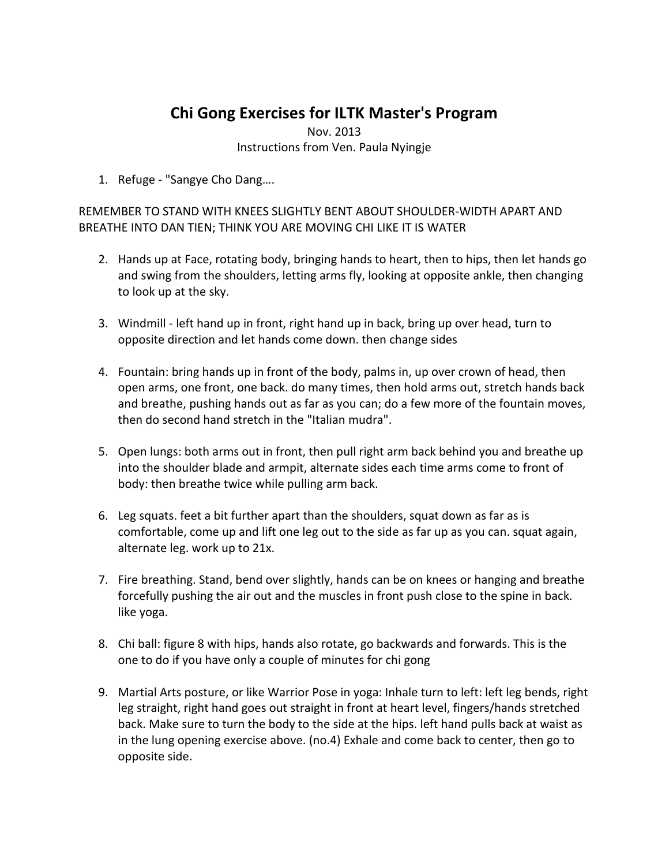## **Chi Gong Exercises for ILTK Master's Program**

Nov. 2013 Instructions from Ven. Paula Nyingje

1. Refuge - "Sangye Cho Dang….

REMEMBER TO STAND WITH KNEES SLIGHTLY BENT ABOUT SHOULDER-WIDTH APART AND BREATHE INTO DAN TIEN; THINK YOU ARE MOVING CHI LIKE IT IS WATER

- 2. Hands up at Face, rotating body, bringing hands to heart, then to hips, then let hands go and swing from the shoulders, letting arms fly, looking at opposite ankle, then changing to look up at the sky.
- 3. Windmill left hand up in front, right hand up in back, bring up over head, turn to opposite direction and let hands come down. then change sides
- 4. Fountain: bring hands up in front of the body, palms in, up over crown of head, then open arms, one front, one back. do many times, then hold arms out, stretch hands back and breathe, pushing hands out as far as you can; do a few more of the fountain moves, then do second hand stretch in the "Italian mudra".
- 5. Open lungs: both arms out in front, then pull right arm back behind you and breathe up into the shoulder blade and armpit, alternate sides each time arms come to front of body: then breathe twice while pulling arm back.
- 6. Leg squats. feet a bit further apart than the shoulders, squat down as far as is comfortable, come up and lift one leg out to the side as far up as you can. squat again, alternate leg. work up to 21x.
- 7. Fire breathing. Stand, bend over slightly, hands can be on knees or hanging and breathe forcefully pushing the air out and the muscles in front push close to the spine in back. like yoga.
- 8. Chi ball: figure 8 with hips, hands also rotate, go backwards and forwards. This is the one to do if you have only a couple of minutes for chi gong
- 9. Martial Arts posture, or like Warrior Pose in yoga: Inhale turn to left: left leg bends, right leg straight, right hand goes out straight in front at heart level, fingers/hands stretched back. Make sure to turn the body to the side at the hips. left hand pulls back at waist as in the lung opening exercise above. (no.4) Exhale and come back to center, then go to opposite side.